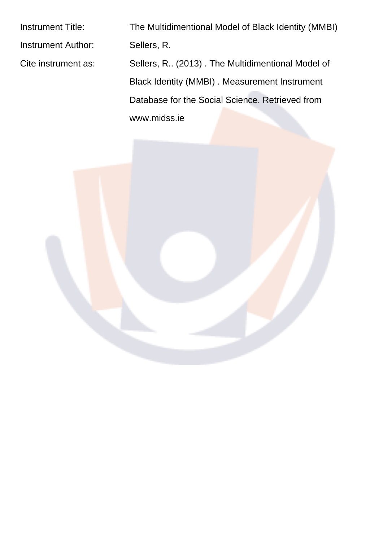Instrument Author: Sellers, R.

Instrument Title: The Multidimentional Model of Black Identity (MMBI) Cite instrument as: Sellers, R.. (2013) . The Multidimentional Model of Black Identity (MMBI) . Measurement Instrument Database for the Social Science. Retrieved from www.midss.ie

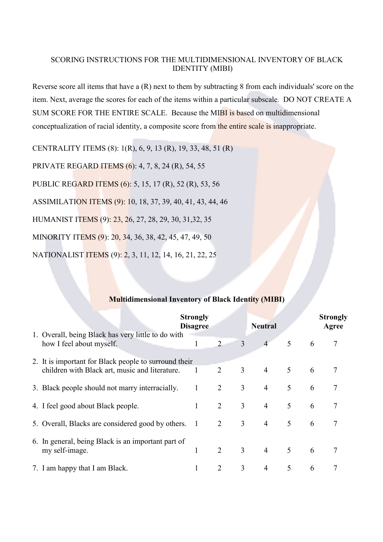#### SCORING INSTRUCTIONS FOR THE MULTIDIMENSIONAL INVENTORY OF BLACK **IDENTITY (MIBI)**

Reverse score all items that have a  $(R)$  next to them by subtracting 8 from each individuals' score on the item. Next, average the scores for each of the items within a particular subscale. DO NOT CREATE A SUM SCORE FOR THE ENTIRE SCALE. Because the MIBI is based on multidimensional conceptualization of racial identity, a composite score from the entire scale is inappropriate.

CENTRALITY ITEMS (8): 1(R), 6, 9, 13 (R), 19, 33, 48, 51 (R)

PRIVATE REGARD ITEMS (6): 4, 7, 8, 24 (R), 54, 55

PUBLIC REGARD ITEMS (6): 5, 15, 17 (R), 52 (R), 53, 56

ASSIMILATION ITEMS (9): 10, 18, 37, 39, 40, 41, 43, 44, 46

HUMANIST ITEMS (9): 23, 26, 27, 28, 29, 30, 31,32, 35

MINORITY ITEMS (9): 20, 34, 36, 38, 42, 45, 47, 49, 50

NATIONALIST ITEMS (9): 2, 3, 11, 12, 14, 16, 21, 22, 25

### **Multidimensional Inventory of Black Identity (MIBI)**

|                                                                                | <b>Strongly</b><br><b>Disagree</b> |                |                | <b>Neutral</b> |   |   | <b>Strongly</b><br>Agree |
|--------------------------------------------------------------------------------|------------------------------------|----------------|----------------|----------------|---|---|--------------------------|
| 1. Overall, being Black has very little to do with<br>how I feel about myself. |                                    | $\overline{2}$ | 3              | $\overline{4}$ | 5 | 6 | 7                        |
| 2. It is important for Black people to surround their                          |                                    |                |                |                |   |   |                          |
| children with Black art, music and literature.                                 | 1                                  | $\overline{2}$ | 3              | $\overline{4}$ | 5 | 6 |                          |
| 3. Black people should not marry interracially.                                |                                    | $\overline{2}$ | 3              | $\overline{4}$ | 5 | 6 | 7                        |
| 4. I feel good about Black people.                                             |                                    | $\overline{2}$ | 3              | $\overline{4}$ | 5 | 6 | 7                        |
| 5. Overall, Blacks are considered good by others.                              | - 1                                | 2              | $\mathfrak{Z}$ | $\overline{4}$ | 5 | 6 | 7                        |
| 6. In general, being Black is an important part of<br>my self-image.           |                                    | $\overline{2}$ | 3              | $\overline{4}$ | 5 | 6 |                          |
| 7. I am happy that I am Black.                                                 |                                    | 2              | 3              | $\overline{4}$ | 5 | 6 | 7                        |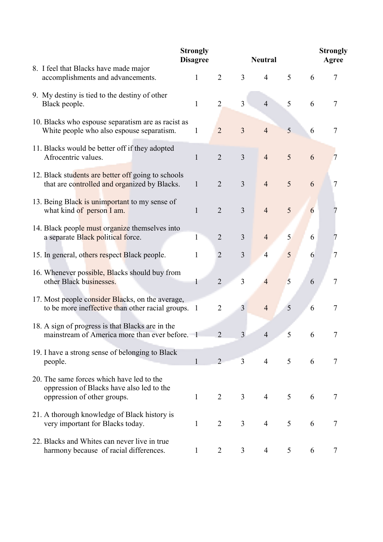|                                                                                                                       | <b>Strongly</b><br><b>Disagree</b> |                | <b>Neutral</b> | <b>Strongly</b><br>Agree |                |   |                |
|-----------------------------------------------------------------------------------------------------------------------|------------------------------------|----------------|----------------|--------------------------|----------------|---|----------------|
| 8. I feel that Blacks have made major<br>accomplishments and advancements.                                            | $\mathbf{1}$                       | $\overline{2}$ | 3              | $\overline{4}$           | 5              | 6 | 7              |
| 9. My destiny is tied to the destiny of other<br>Black people.                                                        | 1                                  | $\overline{2}$ | $\overline{3}$ | $\overline{4}$           | 5              | 6 | 7              |
| 10. Blacks who espouse separatism are as racist as<br>White people who also espouse separatism.                       | 1                                  | $\overline{2}$ | $\overline{3}$ | $\overline{4}$           | 5              | 6 | 7              |
| 11. Blacks would be better off if they adopted<br>Afrocentric values.                                                 | $\mathbf{1}$                       | $\overline{2}$ | $\overline{3}$ | $\overline{4}$           | 5              | 6 | 7              |
| 12. Black students are better off going to schools<br>that are controlled and organized by Blacks.                    | $\mathbf{1}$                       | $\overline{2}$ | $\overline{3}$ | $\overline{4}$           | 5              | 6 | 7              |
| 13. Being Black is unimportant to my sense of<br>what kind of person I am.                                            | 1                                  | $\overline{2}$ | 3              | $\overline{4}$           | 5              | 6 |                |
| 14. Black people must organize themselves into<br>a separate Black political force.                                   | 1                                  | $\overline{2}$ | 3              | $\overline{4}$           | 5              | 6 |                |
| 15. In general, others respect Black people.                                                                          | 1                                  | $\overline{2}$ | 3              | $\overline{4}$           | 5              | 6 | 7              |
| 16. Whenever possible, Blacks should buy from<br>other Black businesses.                                              |                                    | $\overline{2}$ | $\overline{3}$ | $\overline{4}$           | 5              | 6 | 7              |
| 17. Most people consider Blacks, on the average,<br>to be more ineffective than other racial groups. 1                |                                    | $\overline{2}$ | 3              | $\overline{4}$           | 5              | 6 | 7              |
| 18. A sign of progress is that Blacks are in the<br>mainstream of America more than ever before. 1                    |                                    | $\overline{2}$ |                | $\overline{4}$           | 5              | 6 |                |
| 19. I have a strong sense of belonging to Black<br>people.                                                            |                                    | $\overline{2}$ | $\overline{3}$ | $\overline{4}$           | 5 <sup>1</sup> | 6 | 7              |
| 20. The same forces which have led to the<br>oppression of Blacks have also led to the<br>oppression of other groups. | $\mathbf{1}$                       | $\overline{2}$ | $\overline{3}$ | $\overline{4}$           | 5              | 6 | $\tau$         |
| 21. A thorough knowledge of Black history is<br>very important for Blacks today.                                      | $\mathbf{1}$                       | $\overline{2}$ | $\overline{3}$ | $\overline{4}$           | 5              | 6 | $\tau$         |
| 22. Blacks and Whites can never live in true<br>harmony because of racial differences.                                | $\mathbf{1}$                       | $\overline{2}$ | 3              | $\overline{4}$           | 5              | 6 | $\overline{7}$ |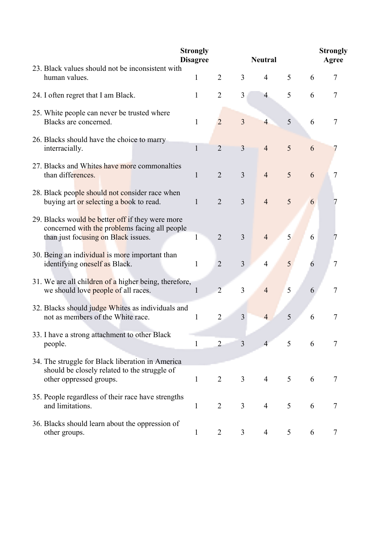|                                                                                                                                          | <b>Strongly</b><br><b>Disagree</b> |                |                | <b>Neutral</b> |                |   | <b>Strongly</b><br>Agree |
|------------------------------------------------------------------------------------------------------------------------------------------|------------------------------------|----------------|----------------|----------------|----------------|---|--------------------------|
| 23. Black values should not be inconsistent with<br>human values.                                                                        | 1                                  | $\overline{2}$ | 3              | $\overline{4}$ | 5              | 6 | 7                        |
| 24. I often regret that I am Black.                                                                                                      | $\mathbf{1}$                       | $\overline{2}$ | 3              | $\overline{4}$ | 5              | 6 | 7                        |
| 25. White people can never be trusted where<br>Blacks are concerned.                                                                     | $\mathbf{1}$                       | $\overline{2}$ | $\overline{3}$ | $\overline{4}$ | 5              | 6 | 7                        |
| 26. Blacks should have the choice to marry<br>interracially.                                                                             | 1                                  | $\overline{2}$ | $\overline{3}$ | $\overline{4}$ | 5              | 6 |                          |
| 27. Blacks and Whites have more commonalties<br>than differences.                                                                        | 1                                  | $\overline{2}$ | $\overline{3}$ | $\overline{4}$ | 5              | 6 | 7                        |
| 28. Black people should not consider race when<br>buying art or selecting a book to read.                                                | $\mathbf{1}$                       | $\overline{2}$ | $\overline{3}$ | $\overline{4}$ | 5              | 6 |                          |
| 29. Blacks would be better off if they were more<br>concerned with the problems facing all people<br>than just focusing on Black issues. | 1                                  | $\overline{2}$ | 3              | $\overline{4}$ | 5 <sup>1</sup> | 6 |                          |
| 30. Being an individual is more important than<br>identifying oneself as Black.                                                          | 1                                  | $\overline{2}$ | $\overline{3}$ | $\overline{4}$ | 5              | 6 | 7                        |
| 31. We are all children of a higher being, therefore,<br>we should love people of all races.                                             | 1                                  | $\overline{2}$ | $\overline{3}$ | $\overline{4}$ | 5              | 6 | 7                        |
| 32. Blacks should judge Whites as individuals and<br>not as members of the White race.                                                   | 1                                  | $\overline{2}$ | $\overline{3}$ | $\overline{4}$ | 5              | 6 | 7                        |
| 33. I have a strong attachment to other Black<br>people.                                                                                 | 1                                  | $\overline{2}$ | 3              | $\overline{4}$ | 5              | 6 | 7                        |
| 34. The struggle for Black liberation in America<br>should be closely related to the struggle of<br>other oppressed groups.              | $\mathbf{1}$                       | $\overline{2}$ | $\overline{3}$ | $\overline{4}$ | 5              | 6 | 7                        |
| 35. People regardless of their race have strengths<br>and limitations.                                                                   | 1                                  | $\overline{2}$ | 3              | $\overline{4}$ | 5              | 6 | 7                        |
| 36. Blacks should learn about the oppression of<br>other groups.                                                                         | 1                                  | $\overline{2}$ | 3              | 4              | 5              | 6 | 7                        |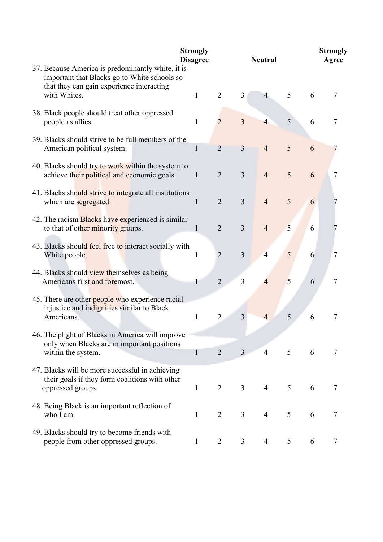|                                                                                                                                                                | <b>Strongly</b><br><b>Disagree</b> |                |                | <b>Neutral</b> |   | <b>Strongly</b><br>Agree |                |
|----------------------------------------------------------------------------------------------------------------------------------------------------------------|------------------------------------|----------------|----------------|----------------|---|--------------------------|----------------|
| 37. Because America is predominantly white, it is<br>important that Blacks go to White schools so<br>that they can gain experience interacting<br>with Whites. | 1                                  | $\overline{2}$ | 3              | 4              | 5 | 6                        | 7              |
| 38. Black people should treat other oppressed<br>people as allies.                                                                                             | 1                                  | $\overline{2}$ | $\overline{3}$ | $\overline{4}$ | 5 | 6                        | 7              |
| 39. Blacks should strive to be full members of the<br>American political system.                                                                               | $\mathbf{1}$                       | $\overline{2}$ | $\overline{3}$ | $\overline{4}$ | 5 | 6                        |                |
| 40. Blacks should try to work within the system to<br>achieve their political and economic goals.                                                              | 1                                  | $\overline{2}$ | $\overline{3}$ | $\overline{4}$ | 5 | 6                        | 7              |
| 41. Blacks should strive to integrate all institutions<br>which are segregated.                                                                                | $\mathbf{1}$                       | $\overline{2}$ | $\overline{3}$ | $\overline{4}$ | 5 | 6                        |                |
| 42. The racism Blacks have experienced is similar<br>to that of other minority groups.                                                                         | 1                                  | $\overline{2}$ | $\overline{3}$ | $\overline{4}$ | 5 | 6                        |                |
| 43. Blacks should feel free to interact socially with<br>White people.                                                                                         | 1                                  | $\overline{2}$ | 3              | $\overline{4}$ | 5 | 6                        | 7              |
| 44. Blacks should view themselves as being<br>Americans first and foremost.                                                                                    |                                    | $\overline{2}$ | 3              | 4              | 5 | 6                        | 7              |
| 45. There are other people who experience racial<br>injustice and indignities similar to Black<br>Americans.                                                   | $\mathbf{1}$                       | $\overline{2}$ | 3              | $\overline{4}$ | 5 | 6                        | 7              |
| 46. The plight of Blacks in America will improve<br>only when Blacks are in important positions<br>within the system.                                          | $\mathbf{1}$                       | $\overline{2}$ | $\overline{3}$ | $\overline{4}$ | 5 | 6                        | $\tau$         |
| 47. Blacks will be more successful in achieving<br>their goals if they form coalitions with other<br>oppressed groups.                                         | $\mathbf{1}$                       | $\overline{2}$ | $\overline{3}$ | $\overline{4}$ | 5 | 6                        | $\overline{7}$ |
| 48. Being Black is an important reflection of<br>who I am.                                                                                                     | $\mathbf{1}$                       | $\overline{2}$ | $\overline{3}$ | $\overline{4}$ | 5 | 6                        | 7              |
| 49. Blacks should try to become friends with<br>people from other oppressed groups.                                                                            | $\mathbf{1}$                       | $\overline{2}$ | 3              | $\overline{4}$ | 5 | 6                        | $\tau$         |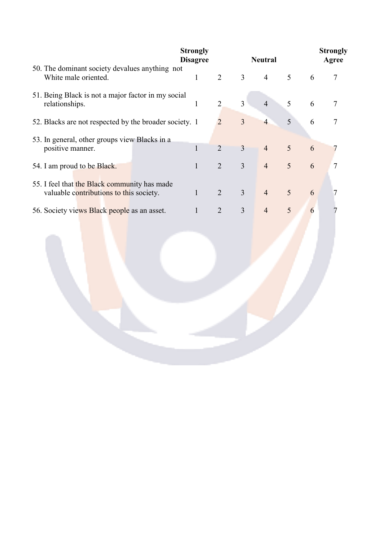|                                                                                         | <b>Strongly</b><br><b>Disagree</b> |                |                | <b>Neutral</b> |                |   | <b>Strongly</b><br>Agree |
|-----------------------------------------------------------------------------------------|------------------------------------|----------------|----------------|----------------|----------------|---|--------------------------|
| 50. The dominant society devalues anything not<br>White male oriented.                  | 1                                  | $\overline{2}$ | $\overline{3}$ | $\overline{4}$ | 5 <sup>5</sup> | 6 |                          |
| 51. Being Black is not a major factor in my social<br>relationships.                    |                                    | $\overline{2}$ | $\overline{3}$ | $\overline{4}$ | 5              | 6 |                          |
| 52. Blacks are not respected by the broader society. 1                                  |                                    | 2              | $\overline{3}$ | $\overline{4}$ | 5              | 6 |                          |
| 53. In general, other groups view Blacks in a<br>positive manner.                       |                                    | $\overline{2}$ | 3              | $\overline{4}$ | $\overline{5}$ | 6 |                          |
| 54. I am proud to be Black.                                                             |                                    | $\overline{2}$ | $\overline{3}$ | $\overline{4}$ | 5              | 6 | 7                        |
| 55. I feel that the Black community has made<br>valuable contributions to this society. |                                    | $\overline{2}$ | 3              | $\overline{4}$ | 5              | 6 |                          |
| 56. Society views Black people as an asset.                                             |                                    | $\overline{2}$ | 3              | $\overline{4}$ | 5              | 6 |                          |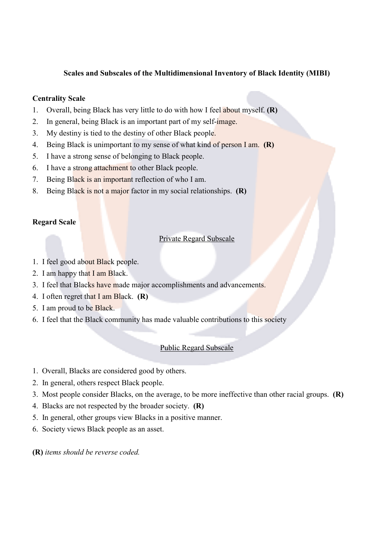### Scales and Subscales of the Multidimensional Inventory of Black Identity (MIBI)

## **Centrality Scale**

- Overall, being Black has very little to do with how I feel about myself. (R)  $\mathbf{1}$ .
- $2<sub>1</sub>$ In general, being Black is an important part of my self-image.
- $3<sup>1</sup>$ My destiny is tied to the destiny of other Black people.
- 4. Being Black is unimportant to my sense of what kind of person I am. (R)
- $5<sub>1</sub>$ I have a strong sense of belonging to Black people.
- I have a strong attachment to other Black people.  $6<sup>1</sup>$
- 7. Being Black is an important reflection of who I am.
- $8<sub>1</sub>$ Being Black is not a major factor in my social relationships.  $(R)$

### **Regard Scale**

### **Private Regard Subscale**

- 1. I feel good about Black people.
- 2. I am happy that I am Black.
- 3. I feel that Blacks have made major accomplishments and advancements.
- 4. I often regret that I am Black.  $(R)$
- 5. I am proud to be Black.
- 6. I feel that the Black community has made valuable contributions to this society

### **Public Regard Subscale**

- 1. Overall, Blacks are considered good by others.
- 2. In general, others respect Black people.
- 3. Most people consider Blacks, on the average, to be more ineffective than other racial groups.  $(R)$
- 4. Blacks are not respected by the broader society.  $(R)$
- 5. In general, other groups view Blacks in a positive manner.
- 6. Society views Black people as an asset.
- (R) items should be reverse coded.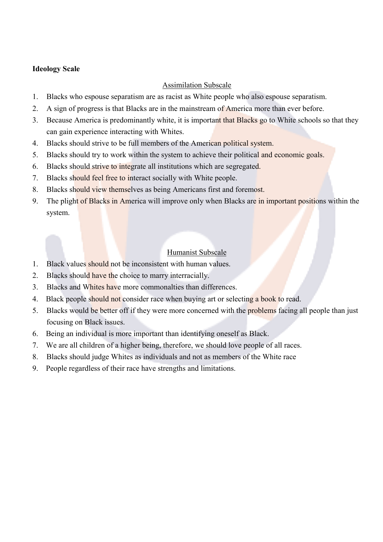## **Ideology Scale**

# **Assimilation Subscale**

- $\overline{1}$ . Blacks who espouse separatism are as racist as White people who also espouse separatism.
- $2<sub>1</sub>$ A sign of progress is that Blacks are in the mainstream of America more than ever before.
- $3<sub>1</sub>$ Because America is predominantly white, it is important that Blacks go to White schools so that they can gain experience interacting with Whites.
- $\overline{4}$ . Blacks should strive to be full members of the American political system.
- Blacks should try to work within the system to achieve their political and economic goals.  $5<sub>1</sub>$
- $6<sup>1</sup>$ Blacks should strive to integrate all institutions which are segregated.
- $7<sub>1</sub>$ Blacks should feel free to interact socially with White people.
- $8<sub>1</sub>$ Blacks should view themselves as being Americans first and foremost.
- $9<sub>1</sub>$ The plight of Blacks in America will improve only when Blacks are in important positions within the system.

# Humanist Subscale

- Black values should not be inconsistent with human values.  $\mathbf{1}$
- $2<sup>1</sup>$ Blacks should have the choice to marry interracially.
- $\mathcal{E}$ Blacks and Whites have more commonalties than differences
- $\overline{4}$ . Black people should not consider race when buying art or selecting a book to read.
- Blacks would be better off if they were more concerned with the problems facing all people than just  $5<sup>1</sup>$ focusing on Black issues.
- Being an individual is more important than identifying oneself as Black. 6.
- $7<sup>7</sup>$ We are all children of a higher being, therefore, we should love people of all races.
- $8<sup>1</sup>$ Blacks should judge Whites as individuals and not as members of the White race
- 9 People regardless of their race have strengths and limitations.